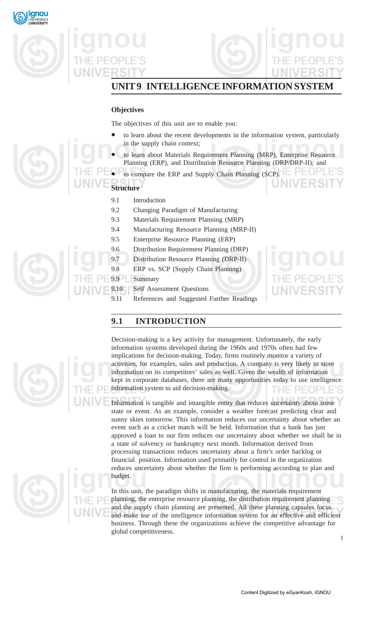

## **UNIT 9 INTELLIGENCE INFORMATION SYSTEM**

## **Objectives**

The objectives of this unit are to enable you:

- to learn about the recent developments in the information system, particularly in the supply chain context;
- to learn about Materials Requirement Planning (MRP), Enterprise Resource Planning (ERP), and Distribution Resource Planning (DRP/DRP-II); and
- to compare the ERP and Supply Chain Planning (SCP).
- **Structure**
	- 9.1 Introduction
	- 9.2 Changing Paradigm of Manufacturing
	- 9.3 Materials Requirement Planning (MRP)
	- 9.4 Manufacturing Resource Planning (MRP-II)
	- 9.5 Enterprise Resource Planning (ERP)
	- 9.6 Distribution Requirement Planning (DRP)
	- 9.7 Distribution Resource Planning (DRP-II)
	- 9.8 ERP vs. SCP (Supply Chain Planning)
	- 9.9 Summary
	- 9.10 Self Assessment Questions
	- 9.11 References and Suggested Further Readings

## **9.1 INTRODUCTION**



Decision-making is a key activity for management. Unfortunately, the early information systems developed during the 1960s and 1970s often had few implications for decision-making. Today, firms routinely monitor a variety of activities, for examples, sales and production. A company is very likely to store information on its competitors' sales as well. Given the wealth of information kept in corporate databases, there are many opportunities today to use intelligence information system to aid decision-making.  $PFOPI$ 

Information is tangible and intangible entity that reduces uncertainty about some state or event. As an example, consider a weather forecast predicting clear and sunny skies tomorrow. This information reduces our uncertainty about whether an event such as a cricket match will be held. Information that a bank has just approved a loan to our firm reduces our uncertainty about whether we shall be in a state of solvency or bankruptcy next month. Information derived from processing transactions reduces uncertainty about a firm's order backlog or financial position. Information used primarily for control in the organization reduces uncertainty about whether the firm is performing according to plan and budget.

In this unit, the paradigm shifts in manufacturing, the materials requirement planning, the enterprise resource planning, the distribution requirement planning and the supply chain planning are presented. All these planning capsules focus and make use of the intelligence information system for an effective and efficient business. Through these the organizations achieve the competitive advantage for global competitiveness.

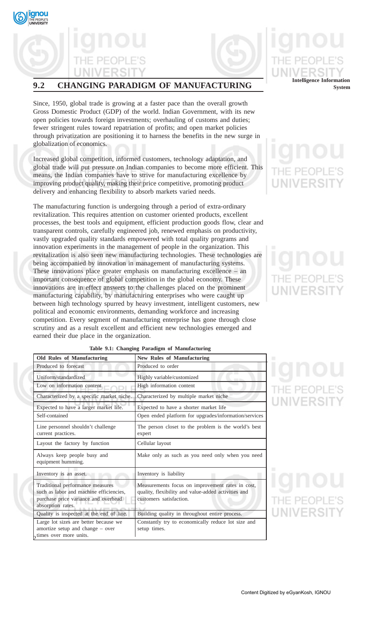



## **9.2 CHANGING PARADIGM OF MANUFACTURING**

Since, 1950, global trade is growing at a faster pace than the overall growth Gross Domestic Product (GDP) of the world. Indian Government, with its new open policies towards foreign investments; overhauling of customs and duties; fewer stringent rules toward repatriation of profits; and open market policies through privatization are positioning it to harness the benefits in the new surge in globalization of economics.

Increased global competition, informed customers, technology adaptation, and global trade will put pressure on Indian companies to become more efficient. This means, the Indian companies have to strive for manufacturing excellence by improving product quality, making their price competitive, promoting product delivery and enhancing flexibility to absorb markets varied needs.

The manufacturing function is undergoing through a period of extra-ordinary revitalization. This requires attention on customer oriented products, excellent processes, the best tools and equipment, efficient production goods flow, clear and transparent controls, carefully engineered job, renewed emphasis on productivity, vastly upgraded quality standards empowered with total quality programs and innovation experiments in the management of people in the organization. This revitalization is also seen new manufacturing technologies. These technologies are being accompanied by innovation in management of manufacturing systems. These innovations place greater emphasis on manufacturing excellence – an important consequence of global competition in the global economy. These innovations are in effect answers to the challenges placed on the prominent manufacturing capability, by manufacturing enterprises who were caught up between high technology spurred by heavy investment, intelligent customers, new political and economic environments, demanding workforce and increasing competition. Every segment of manufacturing enterprise has gone through close scrutiny and as a result excellent and efficient new technologies emerged and earned their due place in the organization.

# **Intelligence Information System**

| <b>Old Rules of Manufacturing</b>                                                                                                        | <b>New Rules of Manufacturing</b>                                                                                                  |
|------------------------------------------------------------------------------------------------------------------------------------------|------------------------------------------------------------------------------------------------------------------------------------|
| Produced to forecast                                                                                                                     | Produced to order                                                                                                                  |
| Uniform/standardized                                                                                                                     | Highly variable/customized                                                                                                         |
| Low on information content                                                                                                               | High information content                                                                                                           |
| Characterized by a specific market niche.                                                                                                | Characterized by multiple market niche                                                                                             |
| Expected to have a larger market life.                                                                                                   | Expected to have a shorter market life                                                                                             |
| Self-contained                                                                                                                           | Open ended platform for upgrades/information/services                                                                              |
| Line personnel shouldn't challenge<br>current practices.                                                                                 | The person closet to the problem is the world's best<br>expert                                                                     |
| Layout the factory by function                                                                                                           | Cellular layout                                                                                                                    |
| Always keep people busy and<br>equipment humming.                                                                                        | Make only as such as you need only when you need                                                                                   |
| Inventory is an asset.                                                                                                                   | Inventory is liability                                                                                                             |
| Traditional performance measures<br>such as labor and machine efficiencies,<br>purchase price variance and overhead<br>absorption rates. | Measurements focus on improvement rates in cost,<br>quality, flexibility and value-added activities and<br>customers satisfaction. |
| Quality is inspected at the end of line.                                                                                                 | Building quality in throughout entire process.                                                                                     |
| Large lot sizes are better because we<br>amortize setup and change – over<br>times over more units.                                      | Constantly try to economically reduce lot size and<br>setup times.                                                                 |

## **Table 9.1: Changing Paradigm of Manufacturing**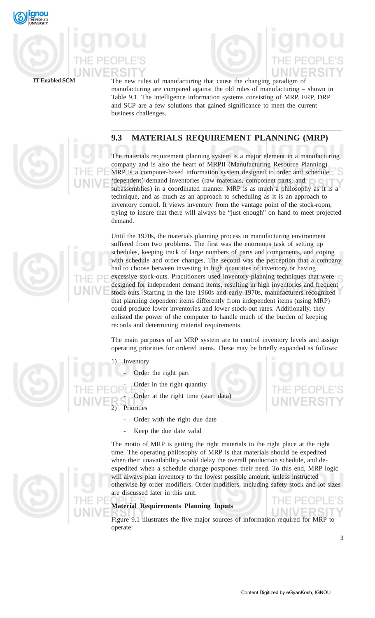





The new rules of manufacturing that cause the changing paradigm of manufacturing are compared against the old rules of manufacturing – shown in Table 9.1. The intelligence information systems consisting of MRP. ERP, DRP and SCP are a few solutions that gained significance to meet the current business challenges.

## **9.3 MATERIALS REQUIREMENT PLANNING (MRP)**

The materials requirement planning system is a major element in a manufacturing company and is also the heart of MRPII (Manufacturing Resource Planning). MRP is a computer-based information system designed to order and schedule 'dependent' demand inventories (raw materials, component parts, and subassemblies) in a coordinated manner. MRP is as much a philosophy as it is a technique, and as much as an approach to scheduling as it is an approach to inventory control. It views inventory from the vantage point of the stock-room, trying to insure that there will always be "just enough" on hand to meet projected demand.

Until the 1970s, the materials planning process in manufacturing environment suffered from two problems. The first was the enormous task of setting up schedules, keeping track of large numbers of parts and components, and coping with schedule and order changes. The second was the perception that a company had to choose between investing in high quantities of inventory or having excessive stock-outs. Practitioners used inventory-planning techniques that were designed for independent demand items, resulting in high inventories and frequent stock outs. Starting in the late 1960s and early 1970s, manufacturers recognized that planning dependent items differently from independent items (using MRP) could produce lower inventories and lower stock-out rates. Additionally, they enlisted the power of the computer to handle much of the burden of keeping records and determining material requirements.

The main purposes of an MRP system are to control inventory levels and assign operating priorities for ordered items. These may be briefly expanded as follows:

## **Inventory**

- Order the right part
- Order in the right quantity
- Order at the right time (start data)

**Priorities** 

- Order with the right due date
- Keep the due date valid

The motto of MRP is getting the right materials to the right place at the right time. The operating philosophy of MRP is that materials should be expedited when their unavailability would delay the overall production schedule, and deexpedited when a schedule change postpones their need. To this end, MRP logic will always plan inventory to the lowest possible amount, unless instructed otherwise by order modifiers. Order modifiers, including safety stock and lot sizes are discussed later in this unit.

### **Material Requirements Planning Inputs**

Figure 9.1 illustrates the five major sources of information required for MRP to operate:

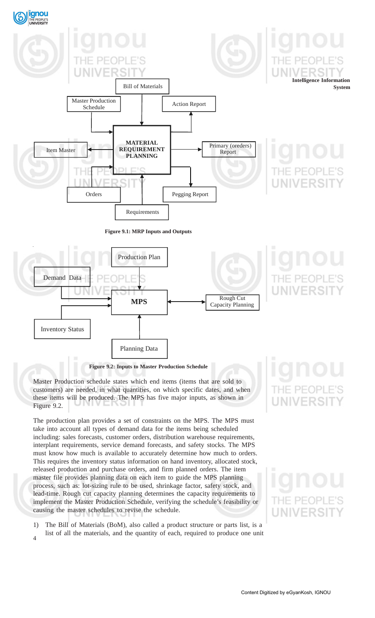

customers) are needed, in what quantities, on which specific dates, and when these items will be produced. The MPS has five major inputs, as shown in Figure 9.2.

The production plan provides a set of constraints on the MPS. The MPS must take into account all types of demand data for the items being scheduled including: sales forecasts, customer orders, distribution warehouse requirements, interplant requirements, service demand forecasts, and safety stocks. The MPS must know how much is available to accurately determine how much to orders. This requires the inventory status information on hand inventory, allocated stock, released production and purchase orders, and firm planned orders. The item master file provides planning data on each item to guide the MPS planning process, such as: lot-sizing rule to be used, shrinkage factor, safety stock, and lead-time. Rough cut capacity planning determines the capacity requirements to implement the Master Production Schedule, verifying the schedule's feasibility or causing the master schedules to revise the schedule.

 $\overline{4}$ 1) The Bill of Materials (BoM), also called a product structure or parts list, is a list of all the materials, and the quantity of each, required to produce one unit

# **NIVERSI**

## $PF($ UNIVERS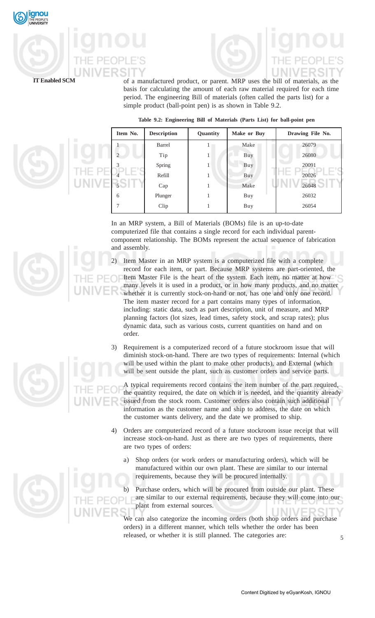

of a manufactured product, or parent. MRP uses the bill of materials, as the basis for calculating the amount of each raw material required for each time period. The engineering Bill of materials (often called the parts list) for a simple product (ball-point pen) is as shown in Table 9.2.

|  |  |  |  |  |  |  |  |  | Table 9.2: Engineering Bill of Materials (Parts List) for ball-point pen |  |
|--|--|--|--|--|--|--|--|--|--------------------------------------------------------------------------|--|
|--|--|--|--|--|--|--|--|--|--------------------------------------------------------------------------|--|



In an MRP system, a Bill of Materials (BOMs) file is an up-to-date computerized file that contains a single record for each individual parentcomponent relationship. The BOMs represent the actual sequence of fabrication and assembly.

- 2) Item Master in an MRP system is a computerized file with a complete record for each item, or part. Because MRP systems are part-oriented, the Item Master File is the heart of the system. Each item, no matter at how many levels it is used in a product, or in how many products, and no matter whether it is currently stock-on-hand or not, has one and only one record. The item master record for a part contains many types of information, including: static data, such as part description, unit of measure, and MRP planning factors (lot sizes, lead times, safety stock, and scrap rates); plus dynamic data, such as various costs, current quantities on hand and on order.
- 3) Requirement is a computerized record of a future stockroom issue that will diminish stock-on-hand. There are two types of requirements: Internal (which will be used within the plant to make other products), and External (which will be sent outside the plant, such as customer orders and service parts.

A typical requirements record contains the item number of the part required, the quantity required, the date on which it is needed, and the quantity already issued from the stock room. Customer orders also contain such additional information as the customer name and ship to address, the date on which the customer wants delivery, and the date we promised to ship.

- 4) Orders are computerized record of a future stockroom issue receipt that will increase stock-on-hand. Just as there are two types of requirements, there are two types of orders:
	- a) Shop orders (or work orders or manufacturing orders), which will be manufactured within our own plant. These are similar to our internal requirements, because they will be procured internally.
	- b) Purchase orders, which will be procured from outside our plant. These are similar to our external requirements, because they will come into our plant from external sources.

We can also categorize the incoming orders (both shop orders and purchase orders) in a different manner, which tells whether the order has been released, or whether it is still planned. The categories are:



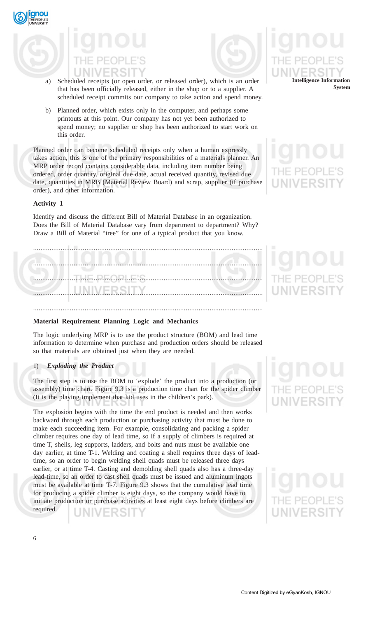



- a) Scheduled receipts (or open order, or released order), which is an order that has been officially released, either in the shop or to a supplier. A scheduled receipt commits our company to take action and spend money.
- b) Planned order, which exists only in the computer, and perhaps some printouts at this point. Our company has not yet been authorized to spend money; no supplier or shop has been authorized to start work on this order.

Planned order can become scheduled receipts only when a human expressly takes action, this is one of the primary responsibilities of a materials planner. An MRP order record contains considerable data, including item number being ordered, order quantity, original due date, actual received quantity, revised due date, quantities in MRB (Material Review Board) and scrap, supplier (if purchase order), and other information.

## **Activity 1**

qnou

Identify and discuss the different Bill of Material Database in an organization. Does the Bill of Material Database vary from department to department? Why? Draw a Bill of Material "tree" for one of a typical product that you know.

.............................................................................................................................

### **Material Requirement Planning Logic and Mechanics**

The logic underlying MRP is to use the product structure (BOM) and lead time information to determine when purchase and production orders should be released so that materials are obtained just when they are needed.

### 1) *Exploding the Product*

The first step is to use the BOM to 'explode' the product into a production (or assembly) time chart. Figure 9.3 is a production time chart for the spider climber (It is the playing implement that kid uses in the children's park).

The explosion begins with the time the end product is needed and then works backward through each production or purchasing activity that must be done to make each succeeding item. For example, consolidating and packing a spider climber requires one day of lead time, so if a supply of climbers is required at time T, shells, leg supports, ladders, and bolts and nuts must be available one day earlier, at time T-1. Welding and coating a shell requires three days of leadtime, so an order to begin welding shell quads must be released three days earlier, or at time T-4. Casting and demolding shell quads also has a three-day lead-time, so an order to cast shell quads must be issued and aluminum ingots must be available at time T-7. Figure 9.3 shows that the cumulative lead time for producing a spider climber is eight days, so the company would have to initiate production or purchase activities at least eight days before climbers are required.

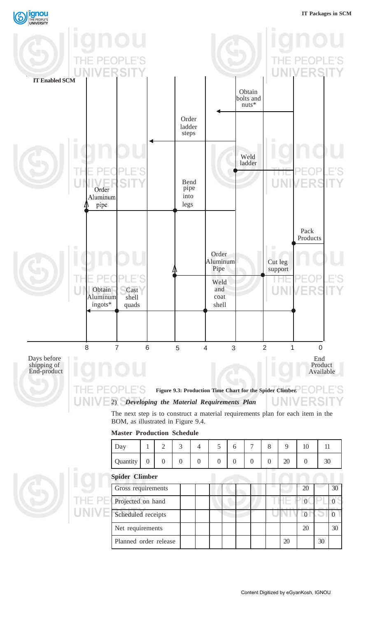

### **Master Production Schedule**

| Day                   |                | 2        | 3        | 4        | 5        | 6        | 7        | 8        | 9  | 10       | 11 |    |
|-----------------------|----------------|----------|----------|----------|----------|----------|----------|----------|----|----------|----|----|
| Quantity              | $\overline{0}$ | $\theta$ | $\theta$ | $\theta$ | $\theta$ | $\theta$ | $\theta$ | $\theta$ | 20 | $\Omega$ | 30 |    |
| <b>Spider Climber</b> |                |          |          |          |          |          |          |          |    |          |    |    |
| Gross requirements    |                |          |          |          |          |          |          |          |    | 20       |    | 30 |
| Projected on hand     |                |          |          |          |          |          |          |          |    | $\Omega$ |    |    |
| Scheduled receipts    |                |          |          |          |          |          |          |          |    | $\Omega$ |    |    |
| Net requirements      |                |          |          |          |          |          |          |          |    | 20       |    | 30 |
| Planned order release |                |          |          |          |          |          |          |          | 20 |          | 30 |    |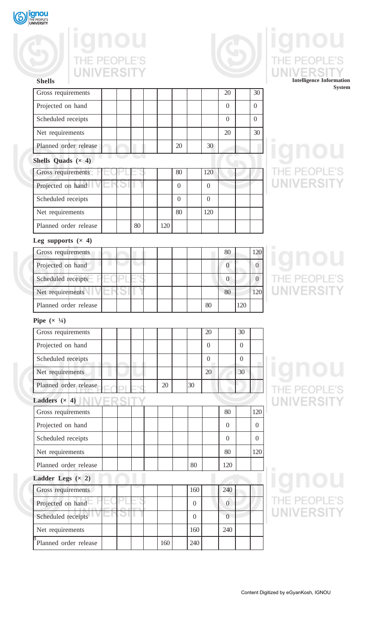

**Shells**

**Shells Quads (× 4)**

Leg supports  $(x, 4)$ 

# THE PEOPLE'S

Projected on hand  $\begin{vmatrix} 1 & 1 & 1 \\ 1 & 1 & 1 \end{vmatrix}$  and  $\begin{vmatrix} 0 & 0 \\ 0 & 0 \end{vmatrix}$ 

Scheduled receipts 0 0

Net requirements 20 30

Gross requirements 80 120

Projected on hand 0 0

Scheduled receipts 0 0

Net requirements 80 120

Planned order release | | | | | | | | 80 | 120

Planned order release 20 20 30

Gross requirements 80 120

Projected on hand  $\|\cdot\|$   $\|$   $\|$   $\|$   $\|$  0  $\|$  0  $\|$  0

Scheduled receipts 0 0

Net requirements  $\begin{array}{|c|c|c|c|c|c|c|c|c|} \hline \end{array}$  | 80 | 120

Planned order release | | 80 | 120



## THE PEC ERS **Intelligence Information System**

## E'S THE PEOPL **UNIVERSIT**

## THE PEOPLE'S **UNIVERSIT**

**Pipe**  $(\times 1/4)$ 

| Gross requirements    |     |                | 20       |                | 30             |          |
|-----------------------|-----|----------------|----------|----------------|----------------|----------|
| Projected on hand     |     |                | $\Omega$ |                | $\overline{0}$ |          |
| Scheduled receipts    |     |                | $\Omega$ |                | $\theta$       |          |
| Net requirements      |     |                | 20       |                | 30             |          |
| Planned order release | 20  | 30             |          |                |                |          |
| Ladders $(x 4)$       |     |                |          |                |                |          |
| Gross requirements    |     |                |          | 80             |                | 120      |
| Projected on hand     |     |                |          | $\Omega$       |                | $\Omega$ |
| Scheduled receipts    |     |                |          | $\overline{0}$ |                | $\Omega$ |
| Net requirements      |     |                |          | 80             |                | 120      |
| Planned order release |     | 80             |          | 120            |                |          |
| Ladder Legs $(x 2)$   |     |                |          |                |                |          |
| Gross requirements    |     | 160            |          | 240            |                |          |
| Projected on hand     |     | $\Omega$       |          | $\Omega$       |                |          |
| Scheduled receipts    |     | $\overline{0}$ |          | $\overline{0}$ |                |          |
| Net requirements      |     | 160            |          | 240            |                |          |
| Planned order release | 160 | 240            |          |                |                |          |

THE PEOPLE'S **UNIVERSIT** 

## THE PEOPLE'S UNIVERSIT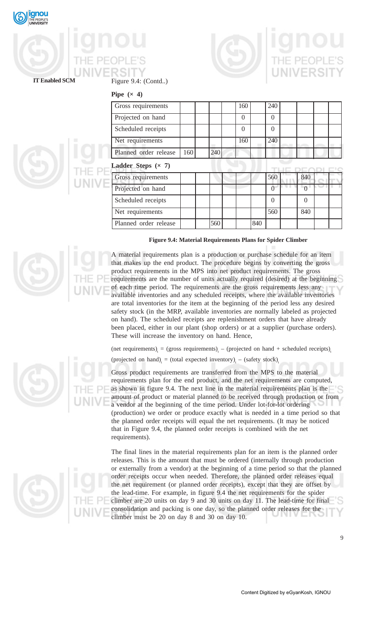

# Figure 9.4: (Contd..)



## **IT Enabled SCM**

**Pipe**  $(x, 4)$ 

| Gross requirements    |     |     | 160      |     | 240            |          |  |
|-----------------------|-----|-----|----------|-----|----------------|----------|--|
| Projected on hand     |     |     | $\Omega$ |     | $\theta$       |          |  |
| Scheduled receipts    |     |     | $\theta$ |     | $\overline{0}$ |          |  |
| Net requirements      |     |     | 160      |     | 240            |          |  |
| Planned order release | 160 | 240 |          |     |                |          |  |
| Ladder Steps $(x, 7)$ |     |     |          |     |                |          |  |
| Gross requirements    |     |     |          |     | 560            | 840      |  |
| Projected on hand     |     |     |          |     |                |          |  |
| Scheduled receipts    |     |     |          |     | $\Omega$       | $\Omega$ |  |
| Net requirements      |     |     |          |     | 560            | 840      |  |
| Planned order release |     | 560 |          | 840 |                |          |  |

### **Figure 9.4: Material Requirements Plans for Spider Climber**

A material requirements plan is a production or purchase schedule for an item that makes up the end product. The procedure begins by converting the gross product requirements in the MPS into net product requirements. The gross requirements are the number of units actually required (desired) at the beginning of each time period. The requirements are the gross requirements less any available inventories and any scheduled receipts, where the available inventories are total inventories for the item at the beginning of the period less any desired safety stock (in the MRP, available inventories are normally labeled as projected on hand). The scheduled receipts are replenishment orders that have already been placed, either in our plant (shop orders) or at a supplier (purchase orders). These will increase the inventory on hand. Hence,

(net requirements)<sub>t</sub> = (gross requirements)<sub>t</sub> – (projected on hand + scheduled receipts)<sub>t</sub>

(projected on hand)<sub>t</sub> = (total expected inventory)<sub>t</sub> – (safety stock)<sub>t</sub>

Gross product requirements are transferred from the MPS to the material requirements plan for the end product, and the net requirements are computed, as shown in figure 9.4. The next line in the material requirements plan is the amount of product or material planned to be received through production or from a vendor at the beginning of the time period. Under lot-for-lot ordering (production) we order or produce exactly what is needed in a time period so that the planned order receipts will equal the net requirements. (It may be noticed that in Figure 9.4, the planned order receipts is combined with the net requirements).

The final lines in the material requirements plan for an item is the planned order releases. This is the amount that must be ordered (internally through production or externally from a vendor) at the beginning of a time period so that the planned order receipts occur when needed. Therefore, the planned order releases equal the net requirement (or planned order receipts), except that they are offset by the lead-time. For example, in figure 9.4 the net requirements for the spider climber are 20 units on day 9 and 30 units on day 11. The lead-time for final consolidation and packing is one day, so the planned order releases for the climber must be 20 on day 8 and 30 on day 10.





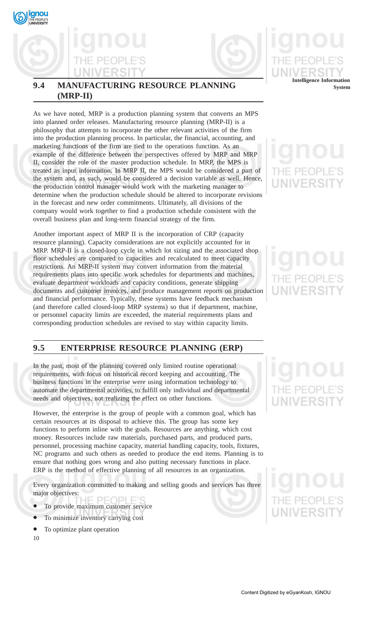



## **9.4 MANUFACTURING RESOURCE PLANNING (MRP-II)**

As we have noted, MRP is a production planning system that converts an MPS into planned order releases. Manufacturing resource planning (MRP-II) is a philosophy that attempts to incorporate the other relevant activities of the firm into the production planning process. In particular, the financial, accounting, and marketing functions of the firm are tied to the operations function. As an example of the difference between the perspectives offered by MRP and MRP II, consider the role of the master production schedule. In MRP, the MPS is treated as input information. In MRP II, the MPS would be considered a part of the system and, as such, would be considered a decision variable as well. Hence, the production control manager would work with the marketing manager to determine when the production schedule should be altered to incorporate revisions in the forecast and new order commitments. Ultimately, all divisions of the company would work together to find a production schedule consistent with the overall business plan and long-term financial strategy of the firm.

Another important aspect of MRP II is the incorporation of CRP (capacity resource planning). Capacity considerations are not explicitly accounted for in MRP. MRP-II is a closed-loop cycle in which lot sizing and the associated shop floor schedules are compared to capacities and recalculated to meet capacity restrictions. An MRP-II system may convert information from the material requirements plans into specific work schedules for departments and machines, evaluate department workloads and capacity conditions, generate shipping documents and customer invoices, and produce management reports on production and financial performance. Typically, these systems have feedback mechanism (and therefore called closed-loop MRP systems) so that if department, machine, or personnel capacity limits are exceeded, the material requirements plans and corresponding production schedules are revised to stay within capacity limits.

## **9.5 ENTERPRISE RESOURCE PLANNING (ERP)**

In the past, most of the planning covered only limited routine operational requirements, with focus on historical record keeping and accounting. The business functions in the enterprise were using information technology to automate the departmental activities, to fulfill only individual and departmental needs and objectives, not realizing the effect on other functions.

However, the enterprise is the group of people with a common goal, which has certain resources at its disposal to achieve this. The group has some key functions to perform inline with the goals. Resources are anything, which cost money. Resources include raw materials, purchased parts, and produced parts, personnel, processing machine capacity, material handling capacity, tools, fixtures, NC programs and such others as needed to produce the end items. Planning is to ensure that nothing goes wrong and also putting necessary functions in place. ERP is the method of effective planning of all resources in an organization.

Every organization committed to making and selling goods and services has three major objectives:

- To provide maximum customer service
- To minimize inventory carrying cost
- To optimize plant operation

10

**System**

# **JNIVERSI**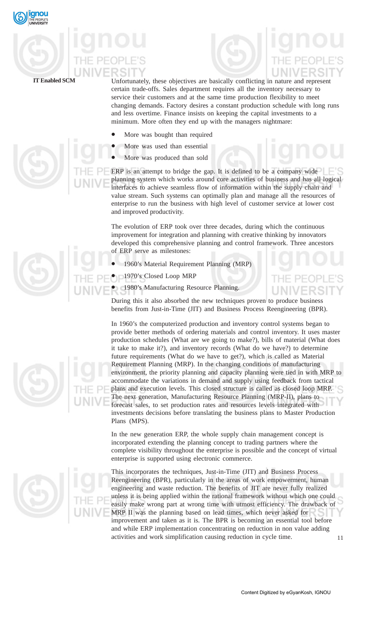

Unfortunately, these objectives are basically conflicting in nature and represent certain trade-offs. Sales department requires all the inventory necessary to service their customers and at the same time production flexibility to meet changing demands. Factory desires a constant production schedule with long runs and less overtime. Finance insists on keeping the capital investments to a minimum. More often they end up with the managers nightmare:

- More was bought than required
- More was used than essential
- More was produced than sold

ERP is an attempt to bridge the gap. It is defined to be a company wide planning system which works around core activities of business and has all logical interfaces to achieve seamless flow of information within the supply chain and value stream. Such systems can optimally plan and manage all the resources of enterprise to run the business with high level of customer service at lower cost and improved productivity.

The evolution of ERP took over three decades, during which the continuous improvement for integration and planning with creative thinking by innovators developed this comprehensive planning and control framework. Three ancestors of ERP serve as milestones:

- 1960's Material Requirement Planning (MRP)
- 1970's Closed Loop MRP

1980's Manufacturing Resource Planning.

During this it also absorbed the new techniques proven to produce business benefits from Just-in-Time (JIT) and Business Process Reengineering (BPR).

In 1960's the computerized production and inventory control systems began to provide better methods of ordering materials and control inventory. It uses master production schedules (What are we going to make?), bills of material (What does it take to make it?), and inventory records (What do we have?) to determine future requirements (What do we have to get?), which is called as Material Requirement Planning (MRP). In the changing conditions of manufacturing environment, the priority planning and capacity planning were tied in with MRP to accommodate the variations in demand and supply using feedback from tactical plans and execution levels. This closed structure is called as closed loop MRP. The next generation, Manufacturing Resource Planning (MRP-II), plans to forecast sales, to set production rates and resources levels integrated with investments decisions before translating the business plans to Master Production Plans (MPS).

In the new generation ERP, the whole supply chain management concept is incorporated extending the planning concept to trading partners where the complete visibility throughout the enterprise is possible and the concept of virtual enterprise is supported using electronic commerce.

11 This incorporates the techniques, Just-in-Time (JIT) and Business Process Reengineering (BPR), particularly in the areas of work empowerment, human engineering and waste reduction. The benefits of JIT are never fully realized unless it is being applied within the rational framework without which one could easily make wrong part at wrong time with utmost efficiency. The drawback of MRP II was the planning based on lead times, which never asked for improvement and taken as it is. The BPR is becoming an essential tool before and while ERP implementation concentrating on reduction in non value adding activities and work simplification causing reduction in cycle time.



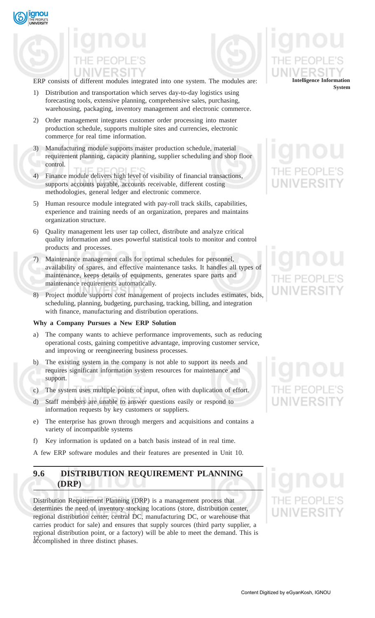gnou



ERP consists of different modules integrated into one system. The modules are:

- 1) Distribution and transportation which serves day-to-day logistics using forecasting tools, extensive planning, comprehensive sales, purchasing, warehousing, packaging, inventory management and electronic commerce.
- 2) Order management integrates customer order processing into master production schedule, supports multiple sites and currencies, electronic commerce for real time information.
- 3) Manufacturing module supports master production schedule, material requirement planning, capacity planning, supplier scheduling and shop floor control.
- 4) Finance module delivers high level of visibility of financial transactions, supports accounts payable, accounts receivable, different costing methodologies, general ledger and electronic commerce.
- 5) Human resource module integrated with pay-roll track skills, capabilities, experience and training needs of an organization, prepares and maintains organization structure.
- 6) Quality management lets user tap collect, distribute and analyze critical quality information and uses powerful statistical tools to monitor and control products and processes.
- 7) Maintenance management calls for optimal schedules for personnel, availability of spares, and effective maintenance tasks. It handles all types of maintenance, keeps details of equipments, generates spare parts and maintenance requirements automatically.
- 8) Project module supports cost management of projects includes estimates, bids, scheduling, planning, budgeting, purchasing, tracking, billing, and integration with finance, manufacturing and distribution operations.

## **Why a Company Pursues a New ERP Solution**

- a) The company wants to achieve performance improvements, such as reducing operational costs, gaining competitive advantage, improving customer service, and improving or reengineering business processes.
- b) The existing system in the company is not able to support its needs and requires significant information system resources for maintenance and support.
- c) The system uses multiple points of input, often with duplication of effort.
- d) Staff members are unable to answer questions easily or respond to information requests by key customers or suppliers.
- e) The enterprise has grown through mergers and acquisitions and contains a variety of incompatible systems
- f) Key information is updated on a batch basis instead of in real time.

A few ERP software modules and their features are presented in Unit 10.

## **9.6 DISTRIBUTION REQUIREMENT PLANNING (DRP)**

12<sup>2</sup> accomplished in three distinct phases. Distribution Requirement Planning (DRP) is a management process that determines the need of inventory stocking locations (store, distribution center, regional distribution center, central DC, manufacturing DC, or warehouse that carries product for sale) and ensures that supply sources (third party supplier, a regional distribution point, or a factory) will be able to meet the demand. This is

## **Intelligence Information System**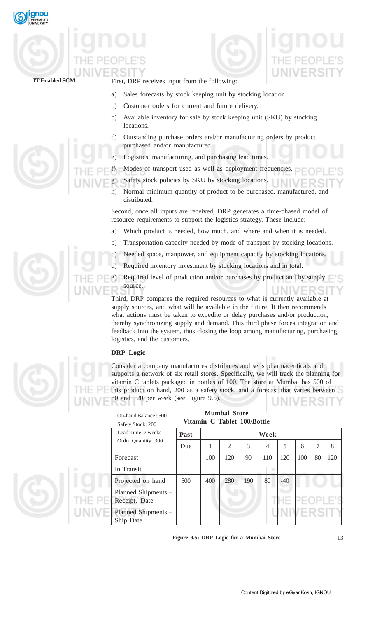



First, DRP receives input from the following:

- a) Sales forecasts by stock keeping unit by stocking location.
- b) Customer orders for current and future delivery.
- c) Available inventory for sale by stock keeping unit (SKU) by stocking locations.
- d) Outstanding purchase orders and/or manufacturing orders by product purchased and/or manufactured.
- e) Logistics, manufacturing, and purchasing lead times.
- f) Modes of transport used as well as deployment frequencies.
- g) Safety stock policies by SKU by stocking locations.
- h) Normal minimum quantity of product to be purchased, manufactured, and distributed.

Second, once all inputs are received, DRP generates a time-phased model of resource requirements to support the logistics strategy. These include:

- a) Which product is needed, how much, and where and when it is needed.
- b) Transportation capacity needed by mode of transport by stocking locations.
- c) Needed space, manpower, and equipment capacity by stocking locations.
- d) Required inventory investment by stocking locations and in total.

e) Required level of production and/or purchases by product and by supply source.

Third, DRP compares the required resources to what is currently available at supply sources, and what will be available in the future. It then recommends what actions must be taken to expedite or delay purchases and/or production, thereby synchronizing supply and demand. This third phase forces integration and feedback into the system, thus closing the loop among manufacturing, purchasing, logistics, and the customers.

## **DRP Logic**

Consider a company manufactures distributes and sells pharmaceuticals and supports a network of six retail stores. Specifically, we will track the planning for vitamin C tablets packaged in bottles of 100. The store at Mumbai has 500 of this product on hand, 200 as a safety stock, and a forecast that varies between 80 and 120 per week (see Figure 9.5).

|        | On-hand Balance: 500<br>Safety Stock: 200 | Mumbai Store<br>Vitamin C Tablet 100/Bottle |     |     |     |      |              |     |    |     |  |  |
|--------|-------------------------------------------|---------------------------------------------|-----|-----|-----|------|--------------|-----|----|-----|--|--|
|        | Lead Time: 2 weeks                        | Past                                        |     |     |     | Week |              |     |    |     |  |  |
|        | Order Quantity: 300                       | Due                                         | 1.  | 2   | 3   | 4    | 5            | 6   | 7  | 8   |  |  |
|        | Forecast                                  |                                             | 100 | 120 | 90  | 110  | 120          | 100 | 80 | 120 |  |  |
|        | In Transit                                |                                             |     |     |     | ٠    |              |     |    |     |  |  |
|        | Projected on hand                         | 500                                         | 400 | 280 | 190 | 80   | $-40$        |     |    |     |  |  |
| THE PE | Planned Shipments.-<br>Receipt. Date      |                                             |     |     |     |      | $\leftarrow$ |     |    |     |  |  |
|        | Planned Shipments.<br>Ship Date           |                                             |     |     |     |      |              |     |    |     |  |  |

**Figure 9.5: DRP Logic for a Mumbai Store**

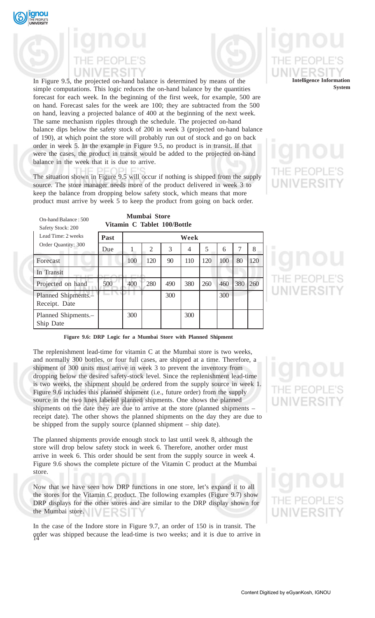

On-hand Balance : 500



In Figure 9.5, the projected on-hand balance is determined by means of the simple computations. This logic reduces the on-hand balance by the quantities forecast for each week. In the beginning of the first week, for example, 500 are on hand. Forecast sales for the week are 100; they are subtracted from the 500 on hand, leaving a projected balance of 400 at the beginning of the next week. The same mechanism ripples through the schedule. The projected on-hand balance dips below the safety stock of 200 in week 3 (projected on-hand balance of 190), at which point the store will probably run out of stock and go on back order in week 5. In the example in Figure 9.5, no product is in transit. If that were the cases, the product in transit would be added to the projected on-hand balance in the week that it is due to arrive.

The situation shown in Figure 9.5 will occur if nothing is shipped from the supply source. The store manager needs more of the product delivered in week 3 to keep the balance from dropping below safety stock, which means that more product must arrive by week 5 to keep the product from going on back order.

**Mumbai Store**



**Vitamin C Tablet 100/Bottle Past Week** Due 1 2 3 4 5 6 7 8 Forecast 100 100 120 90 110 120 100 80 120 In Transit Projected on hand 500 400 280 490 380 260 460 380 260 Planned Shipments.- 300 300 300 Receipt. Date Planned Shipments.- 300 300 300 Ship Date Safety Stock: 200 Lead Time: 2 weeks Order Quantity: 300



**Figure 9.6: DRP Logic for a Mumbai Store with Planned Shipment**

The replenishment lead-time for vitamin C at the Mumbai store is two weeks, and normally 300 bottles, or four full cases, are shipped at a time. Therefore, a shipment of 300 units must arrive in week 3 to prevent the inventory from dropping below the desired safety-stock level. Since the replenishment lead-time is two weeks, the shipment should be ordered from the supply source in week 1. Figure 9.6 includes this planned shipment (i.e., future order) from the supply source in the two lines labeled planned shipments. One shows the planned shipments on the date they are due to arrive at the store (planned shipments – receipt date). The other shows the planned shipments on the day they are due to be shipped from the supply source (planned shipment – ship date).

The planned shipments provide enough stock to last until week 8, although the store will drop below safety stock in week 6. Therefore, another order must arrive in week 6. This order should be sent from the supply source in week 4. Figure 9.6 shows the complete picture of the Vitamin C product at the Mumbai store.

Now that we have seen how DRP functions in one store, let's expand it to all the stores for the Vitamin C product. The following examples (Figure 9.7) show DRP displays for the other stores and are similar to the DRP display shown for the Mumbai store.

14 order was shipped because the lead-time is two weeks; and it is due to arrive in In the case of the Indore store in Figure 9.7, an order of 150 is in transit. The

# **UNIVERSI**

# IE PEOP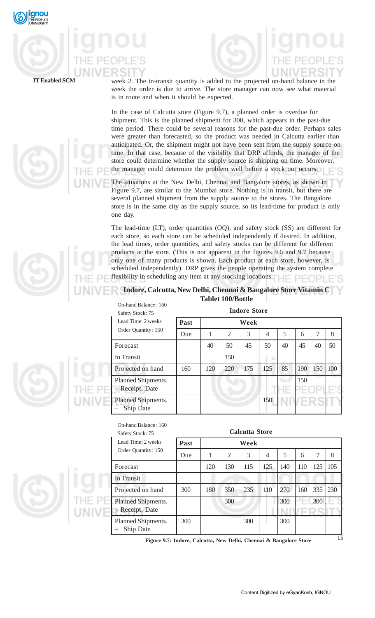



week 2. The in-transit quantity is added to the projected on-hand balance in the week the order is due to arrive. The store manager can now see what material is in route and when it should be expected.

In the case of Calcutta store (Figure 9.7), a planned order is overdue for shipment. This is the planned shipment for 300, which appears in the past-due time period. There could be several reasons for the past-due order. Perhaps sales were greater than forecasted, so the product was needed in Calcutta earlier than anticipated. Or, the shipment might not have been sent from the supply source on time. In that case, because of the visibility that DRP affords, the manager of the store could determine whether the supply source is shipping on time. Moreover, the manager could determine the problem well before a stock out occurs.

The situations at the New Delhi, Chennai and Bangalore stores, as shown in Figure 9.7, are similar to the Mumbai store. Nothing is in transit, but there are several planned shipment from the supply source to the stores. The Bangalore store is in the same city as the supply source, so its lead-time for product is only one day.

The lead-time (LT), order quantities (OQ), and safety stock (SS) are different for each store, so each store can be scheduled independently if desired. In addition, the lead times, order quantities, and safety stocks can be different for different products at the store. (This is not apparent in the figures 9.6 and 9.7 because only one of many products is shown. Each product at each store, however, is scheduled independently). DRP gives the people operating the system complete flexibility in scheduling any item at any stocking locations.  $\Box$   $\Box$   $\Box$   $\Box$   $\Box$ 

## **Indore, Calcutta, New Delhi, Chennai & Bangalore Store Vitamin C Tablet 100/Bottle**

| On-hand Balance: 160<br>Safety Stock: 75 |      |     |                | <b>Indore Store</b> |     |                |     |     |     |
|------------------------------------------|------|-----|----------------|---------------------|-----|----------------|-----|-----|-----|
| Lead Time: 2 weeks                       | Past |     |                | Week                |     |                |     |     |     |
| Order Quantity: 150                      | Due  | 1   | $\overline{2}$ | 3                   | 4   | 5              | 6   | 7   | 8   |
| Forecast                                 |      | 40  | 50             | 45                  | 50  | 40             | 45  | 40  | 50  |
| In Transit                               |      |     | 150            |                     |     |                |     |     |     |
| Projected on hand                        | 160  | 120 | 220            | 175                 | 125 | 85             | 190 | 150 | 100 |
| Planned Shipments.<br>- Receipt. Date    |      |     |                |                     |     | <b>Service</b> | 150 |     |     |
| Planned Shipments.<br>Ship Date          |      |     |                |                     | 150 |                |     |     |     |

|        | On-hand Balance: 160<br>Safety Stock: 75 | <b>Calcutta Store</b> |     |                |      |     |     |     |     |     |  |
|--------|------------------------------------------|-----------------------|-----|----------------|------|-----|-----|-----|-----|-----|--|
|        | Lead Time: 2 weeks                       | Past                  |     |                | Week |     |     |     |     |     |  |
|        | Order Quantity: 150                      | Due                   |     | $\overline{2}$ | 3    | 4   | 5   | 6   |     | 8   |  |
| ٠      | Forecast                                 |                       | 120 | 130            | 115  | 125 | 140 | 110 | 125 | 105 |  |
|        | In Transit                               |                       |     |                |      |     |     |     |     |     |  |
|        | Projected on hand                        | 300                   | 180 | 350            | 235  | 110 | 270 | 160 | 335 | 230 |  |
| UNIVE. | Planned Shipments.<br>- Receipt. Date    |                       |     | 300            |      |     | 300 |     | 300 |     |  |
|        | Planned Shipments.<br>Ship Date          | 300                   |     |                | 300  |     | 300 |     |     |     |  |





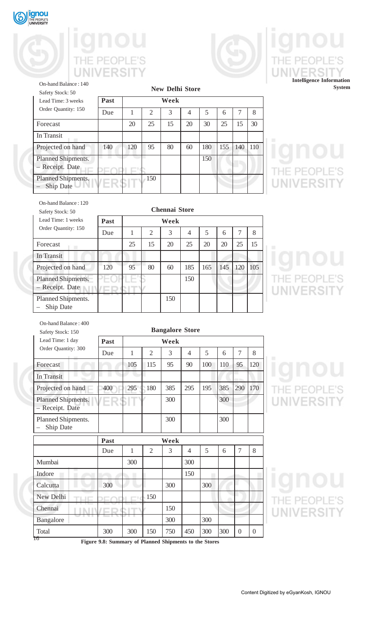

 $\overline{\text{In}'}$ 

– Ship Date

## THE PEOPLE'S V **NIVERSIT** U



## THE  $PF($ E'S **UNIVERS Intelligence Information**

**System**

| On-hand Balance: 140<br>Safety Stock: 50     |      |      |                | <b>New Delhi Store</b> |    |     |     |     |     |  |
|----------------------------------------------|------|------|----------------|------------------------|----|-----|-----|-----|-----|--|
| Lead Time: 3 weeks                           | Past | Week |                |                        |    |     |     |     |     |  |
| Order Quantity: 150                          | Due  |      | $\overline{2}$ | 3                      | 4  | 5   | 6   |     | 8   |  |
| Forecast                                     |      | 20   | 25             | 15                     | 20 | 30  | 25  | 15  | 30  |  |
| In Transit                                   |      |      |                |                        |    |     |     |     |     |  |
| Projected on hand                            | 140  | 120  | 95             | 80                     | 60 | 180 | 155 | 140 | 110 |  |
| <b>Planned Shipments.</b><br>- Receipt. Date |      |      |                |                        |    | 150 |     |     |     |  |
| <b>Planned Shipments.</b>                    |      |      | 150            |                        |    |     |     |     |     |  |

# THE PEOPLE'S<br>UNIVERSITY JNI

| On-hand Balance: 120<br>Safety Stock: 50<br>Lead Time: 1 weeks | <b>Chennai Store</b><br>Past |    |                |      |                |     |     |     |     |  |  |
|----------------------------------------------------------------|------------------------------|----|----------------|------|----------------|-----|-----|-----|-----|--|--|
|                                                                |                              |    |                | Week |                |     |     |     |     |  |  |
| Order Quantity: 150                                            | Due                          | 1  | $\overline{2}$ | 3    | $\overline{4}$ | 5   | 6   | 7   | 8   |  |  |
| Forecast                                                       |                              | 25 | 15             | 20   | 25             | 20  | 20  | 25  | 15  |  |  |
| In Transit                                                     |                              |    |                |      |                |     |     |     |     |  |  |
| Projected on hand                                              | 120                          | 95 | 80             | 60   | 185            | 165 | 145 | 120 | 105 |  |  |
| Planned Shipments.<br>- Receipt. Date                          |                              |    |                |      | 150            |     |     |     |     |  |  |
| Planned Shipments.<br>Ship Date                                |                              |    |                | 150  |                |     |     |     |     |  |  |

THE PEOPLE'S<br>UNIVERSITY JNIV

| On-hand Balance: 400                  |                        |              |                |      |                |     |     |                  |          |  |
|---------------------------------------|------------------------|--------------|----------------|------|----------------|-----|-----|------------------|----------|--|
| Safety Stock: 150                     | <b>Bangalore Store</b> |              |                |      |                |     |     |                  |          |  |
| Lead Time: 1 day                      | Past<br>Week           |              |                |      |                |     |     |                  |          |  |
| Order Quantity: 300                   | Due                    | $\mathbf{1}$ | $\overline{2}$ | 3    | 4              | 5   | 6   | 7                | 8        |  |
| Forecast                              |                        | 105          | 115            | 95   | 90             | 100 | 110 | 95               | 120      |  |
| In Transit                            |                        |              |                |      |                |     |     |                  |          |  |
| Projected on hand                     | 400                    | 295          | 180            | 385  | 295            | 195 | 385 | 290              | 170      |  |
| Planned Shipments.<br>- Receipt. Date |                        |              |                | 300  |                |     | 300 |                  |          |  |
| Planned Shipments.<br>Ship Date       |                        |              |                | 300  |                |     | 300 |                  |          |  |
|                                       | Past                   |              |                | Week |                |     |     |                  |          |  |
|                                       | Due                    | $\mathbf{1}$ | $\overline{2}$ | 3    | $\overline{4}$ | 5   | 6   | 7                | 8        |  |
| Mumbai                                |                        | 300          |                |      | 300            |     |     |                  |          |  |
| Indore                                |                        |              |                |      | 150            |     |     |                  |          |  |
| Calcutta                              | 300                    |              |                | 300  |                | 300 |     |                  |          |  |
| New Delhi                             |                        |              | 150            |      |                |     |     |                  |          |  |
| Chennai                               |                        |              |                | 150  |                |     |     |                  |          |  |
| Bangalore                             |                        |              |                | 300  |                | 300 |     |                  |          |  |
| Total                                 | 300                    | 300          | 150            | 750  | 450            | 300 | 300 | $\boldsymbol{0}$ | $\theta$ |  |

## THE PEOPLE'S **UNIVERSITY**

THE PEOPLE'S **UNIVERSITY** 

**Figure 9.8: Summary of Planned Shipments to the Stores**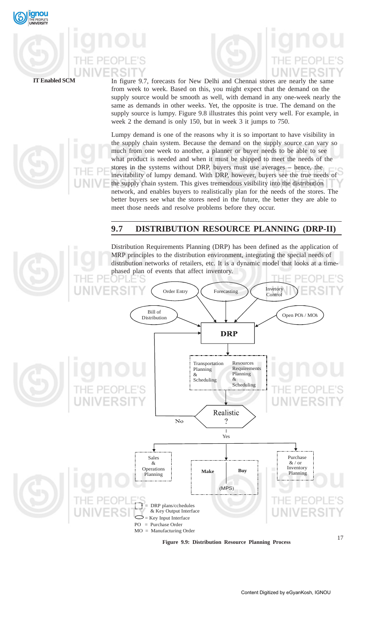



In figure 9.7, forecasts for New Delhi and Chennai stores are nearly the same from week to week. Based on this, you might expect that the demand on the supply source would be smooth as well, with demand in any one-week nearly the same as demands in other weeks. Yet, the opposite is true. The demand on the supply source is lumpy. Figure 9.8 illustrates this point very well. For example, in week 2 the demand is only 150, but in week 3 it jumps to 750.

Lumpy demand is one of the reasons why it is so important to have visibility in the supply chain system. Because the demand on the supply source can vary so much from one week to another, a planner or buyer needs to be able to see what product is needed and when it must be shipped to meet the needs of the stores in the systems without DRP, buyers must use averages – hence, the inevitability of lumpy demand. With DRP, however, buyers see the true needs of the supply chain system. This gives tremendous visibility into the distribution network, and enables buyers to realistically plan for the needs of the stores. The better buyers see what the stores need in the future, the better they are able to meet those needs and resolve problems before they occur.

## **9.7 DISTRIBUTION RESOURCE PLANNING (DRP-II)**

Distribution Requirements Planning (DRP) has been defined as the application of MRP principles to the distribution environment, integrating the special needs of distribution networks of retailers, etc. It is a dynamic model that looks at a timephased plan of events that affect inventory.



**Figure 9.9: Distribution Resource Planning Process**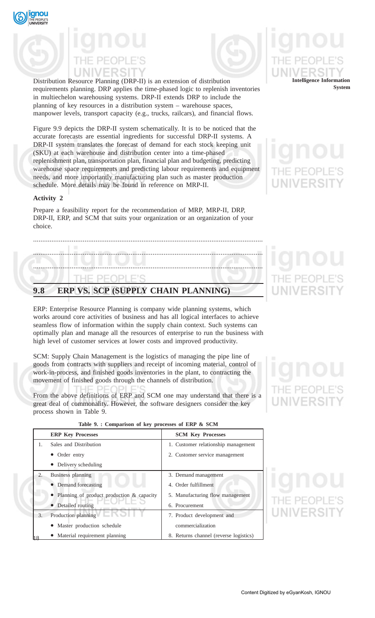



Distribution Resource Planning (DRP-II) is an extension of distribution requirements planning. DRP applies the time-phased logic to replenish inventories in multiechelon warehousing systems. DRP-II extends DRP to include the planning of key resources in a distribution system – warehouse spaces, manpower levels, transport capacity (e.g., trucks, railcars), and financial flows.

Figure 9.9 depicts the DRP-II system schematically. It is to be noticed that the accurate forecasts are essential ingredients for successful DRP-II systems. A DRP-II system translates the forecast of demand for each stock keeping unit (SKU) at each warehouse and distribution center into a time-phased replenishment plan, transportation plan, financial plan and budgeting, predicting warehouse space requirements and predicting labour requirements and equipment needs, and more importantly manufacturing plan such as master production schedule. More details may be found in reference on MRP-II.

## **Activity 2**

Prepare a feasibility report for the recommendation of MRP, MRP-II, DRP, DRP-II, ERP, and SCM that suits your organization or an organization of your choice.

## ............................................................................................................................. ............................................................................................................................. ............................................................................................................................. PEOPLE'S

## **9.8 ERP VS. SCP (SUPPLY CHAIN PLANNING)**

ERP: Enterprise Resource Planning is company wide planning systems, which works around core activities of business and has all logical interfaces to achieve seamless flow of information within the supply chain context. Such systems can optimally plan and manage all the resources of enterprise to run the business with high level of customer services at lower costs and improved productivity.

SCM: Supply Chain Management is the logistics of managing the pipe line of goods from contracts with suppliers and receipt of incoming material, control of work-in-process, and finished goods inventories in the plant, to contracting the movement of finished goods through the channels of distribution.

From the above definitions of ERP and SCM one may understand that there is a great deal of commonality. However, the software designers consider the key process shown in Table 9.

|    | <b>ERP Key Processes</b>                  | <b>SCM Key Processes</b>               |
|----|-------------------------------------------|----------------------------------------|
| 1. | Sales and Distribution                    | 1. Customer relationship management    |
|    | Order entry                               | 2. Customer service management         |
|    | Delivery scheduling                       |                                        |
| 2. | Business planning                         | 3. Demand management                   |
|    | • Demand forecasting                      | 4. Order fulfillment                   |
|    | Planning of product production & capacity | 5. Manufacturing flow management       |
|    | • Detailed routing                        | 6. Procurement                         |
| 3. | Production planning                       | 7. Product development and             |
|    | • Master production schedule              | commercialization                      |
|    | • Material requirement planning           | 8. Returns channel (reverse logistics) |

## **Table 9. : Comparison of key processes of ERP & SCM**

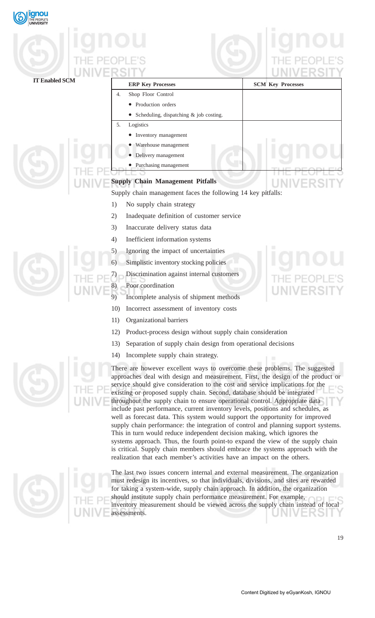| gnou<br><b>JNIVERSITY</b> |                                                                                                                                                                                                                                                                                                                                                                                                                                                                                                                                                                                                                                                                                                                                                                                                                                                                                                                                                                                                                                                                                      |                          |  |  |  |  |  |
|---------------------------|--------------------------------------------------------------------------------------------------------------------------------------------------------------------------------------------------------------------------------------------------------------------------------------------------------------------------------------------------------------------------------------------------------------------------------------------------------------------------------------------------------------------------------------------------------------------------------------------------------------------------------------------------------------------------------------------------------------------------------------------------------------------------------------------------------------------------------------------------------------------------------------------------------------------------------------------------------------------------------------------------------------------------------------------------------------------------------------|--------------------------|--|--|--|--|--|
|                           |                                                                                                                                                                                                                                                                                                                                                                                                                                                                                                                                                                                                                                                                                                                                                                                                                                                                                                                                                                                                                                                                                      |                          |  |  |  |  |  |
|                           |                                                                                                                                                                                                                                                                                                                                                                                                                                                                                                                                                                                                                                                                                                                                                                                                                                                                                                                                                                                                                                                                                      |                          |  |  |  |  |  |
|                           |                                                                                                                                                                                                                                                                                                                                                                                                                                                                                                                                                                                                                                                                                                                                                                                                                                                                                                                                                                                                                                                                                      |                          |  |  |  |  |  |
| <b>IT Enabled SCM</b>     | <b>ERP Key Processes</b>                                                                                                                                                                                                                                                                                                                                                                                                                                                                                                                                                                                                                                                                                                                                                                                                                                                                                                                                                                                                                                                             | <b>SCM Key Processes</b> |  |  |  |  |  |
|                           | Shop Floor Control<br>4.                                                                                                                                                                                                                                                                                                                                                                                                                                                                                                                                                                                                                                                                                                                                                                                                                                                                                                                                                                                                                                                             |                          |  |  |  |  |  |
|                           | • Production orders                                                                                                                                                                                                                                                                                                                                                                                                                                                                                                                                                                                                                                                                                                                                                                                                                                                                                                                                                                                                                                                                  |                          |  |  |  |  |  |
|                           | • Scheduling, dispatching & job costing.                                                                                                                                                                                                                                                                                                                                                                                                                                                                                                                                                                                                                                                                                                                                                                                                                                                                                                                                                                                                                                             |                          |  |  |  |  |  |
|                           | Logistics<br>5.                                                                                                                                                                                                                                                                                                                                                                                                                                                                                                                                                                                                                                                                                                                                                                                                                                                                                                                                                                                                                                                                      |                          |  |  |  |  |  |
|                           | • Inventory management                                                                                                                                                                                                                                                                                                                                                                                                                                                                                                                                                                                                                                                                                                                                                                                                                                                                                                                                                                                                                                                               |                          |  |  |  |  |  |
|                           | • Warehouse management<br>• Delivery management                                                                                                                                                                                                                                                                                                                                                                                                                                                                                                                                                                                                                                                                                                                                                                                                                                                                                                                                                                                                                                      |                          |  |  |  |  |  |
|                           | • Purchasing management                                                                                                                                                                                                                                                                                                                                                                                                                                                                                                                                                                                                                                                                                                                                                                                                                                                                                                                                                                                                                                                              |                          |  |  |  |  |  |
|                           |                                                                                                                                                                                                                                                                                                                                                                                                                                                                                                                                                                                                                                                                                                                                                                                                                                                                                                                                                                                                                                                                                      |                          |  |  |  |  |  |
|                           | <b>Supply Chain Management Pitfalls</b>                                                                                                                                                                                                                                                                                                                                                                                                                                                                                                                                                                                                                                                                                                                                                                                                                                                                                                                                                                                                                                              |                          |  |  |  |  |  |
|                           | Supply chain management faces the following 14 key pitfalls:                                                                                                                                                                                                                                                                                                                                                                                                                                                                                                                                                                                                                                                                                                                                                                                                                                                                                                                                                                                                                         |                          |  |  |  |  |  |
|                           | No supply chain strategy<br>1)                                                                                                                                                                                                                                                                                                                                                                                                                                                                                                                                                                                                                                                                                                                                                                                                                                                                                                                                                                                                                                                       |                          |  |  |  |  |  |
|                           | Inadequate definition of customer service<br>2)                                                                                                                                                                                                                                                                                                                                                                                                                                                                                                                                                                                                                                                                                                                                                                                                                                                                                                                                                                                                                                      |                          |  |  |  |  |  |
|                           | Inaccurate delivery status data<br>3)                                                                                                                                                                                                                                                                                                                                                                                                                                                                                                                                                                                                                                                                                                                                                                                                                                                                                                                                                                                                                                                |                          |  |  |  |  |  |
|                           | Inefficient information systems<br>4)                                                                                                                                                                                                                                                                                                                                                                                                                                                                                                                                                                                                                                                                                                                                                                                                                                                                                                                                                                                                                                                |                          |  |  |  |  |  |
|                           | Ignoring the impact of uncertainties<br>5)                                                                                                                                                                                                                                                                                                                                                                                                                                                                                                                                                                                                                                                                                                                                                                                                                                                                                                                                                                                                                                           |                          |  |  |  |  |  |
|                           | Simplistic inventory stocking policies<br>6)                                                                                                                                                                                                                                                                                                                                                                                                                                                                                                                                                                                                                                                                                                                                                                                                                                                                                                                                                                                                                                         |                          |  |  |  |  |  |
|                           | Discrimination against internal customers                                                                                                                                                                                                                                                                                                                                                                                                                                                                                                                                                                                                                                                                                                                                                                                                                                                                                                                                                                                                                                            |                          |  |  |  |  |  |
|                           | Poor coordination<br>$\mathcal{O}$                                                                                                                                                                                                                                                                                                                                                                                                                                                                                                                                                                                                                                                                                                                                                                                                                                                                                                                                                                                                                                                   |                          |  |  |  |  |  |
|                           | Incomplete analysis of shipment methods                                                                                                                                                                                                                                                                                                                                                                                                                                                                                                                                                                                                                                                                                                                                                                                                                                                                                                                                                                                                                                              |                          |  |  |  |  |  |
|                           | Incorrect assessment of inventory costs<br>1 <sub>0</sub>                                                                                                                                                                                                                                                                                                                                                                                                                                                                                                                                                                                                                                                                                                                                                                                                                                                                                                                                                                                                                            |                          |  |  |  |  |  |
|                           | Organizational barriers<br>11)                                                                                                                                                                                                                                                                                                                                                                                                                                                                                                                                                                                                                                                                                                                                                                                                                                                                                                                                                                                                                                                       |                          |  |  |  |  |  |
|                           | Product-process design without supply chain consideration<br>12)                                                                                                                                                                                                                                                                                                                                                                                                                                                                                                                                                                                                                                                                                                                                                                                                                                                                                                                                                                                                                     |                          |  |  |  |  |  |
|                           | Separation of supply chain design from operational decisions<br>13)                                                                                                                                                                                                                                                                                                                                                                                                                                                                                                                                                                                                                                                                                                                                                                                                                                                                                                                                                                                                                  |                          |  |  |  |  |  |
|                           | Incomplete supply chain strategy.<br>14)                                                                                                                                                                                                                                                                                                                                                                                                                                                                                                                                                                                                                                                                                                                                                                                                                                                                                                                                                                                                                                             |                          |  |  |  |  |  |
|                           |                                                                                                                                                                                                                                                                                                                                                                                                                                                                                                                                                                                                                                                                                                                                                                                                                                                                                                                                                                                                                                                                                      |                          |  |  |  |  |  |
|                           | There are however excellent ways to overcome these problems. The suggested<br>approaches deal with design and measurement. First, the design of the product or<br>service should give consideration to the cost and service implications for the<br>existing or proposed supply chain. Second, database should be integrated<br>throughout the supply chain to ensure operational control. Appropriate data<br>include past performance, current inventory levels, positions and schedules, as<br>well as forecast data. This system would support the opportunity for improved<br>supply chain performance: the integration of control and planning support systems.<br>This in turn would reduce independent decision making, which ignores the<br>systems approach. Thus, the fourth point-to expand the view of the supply chain<br>is critical. Supply chain members should embrace the systems approach with the<br>realization that each member's activities have an impact on the others.<br>The last two issues concern internal and external measurement. The organization |                          |  |  |  |  |  |
|                           | must redesign its incentives, so that individuals, divisions, and sites are rewarded<br>for taking a system-wide, supply chain approach. In addition, the organization                                                                                                                                                                                                                                                                                                                                                                                                                                                                                                                                                                                                                                                                                                                                                                                                                                                                                                               |                          |  |  |  |  |  |

should institute supply chain performance measurement. For example, inventory measurement should be viewed across the supply chain instead of local assessments.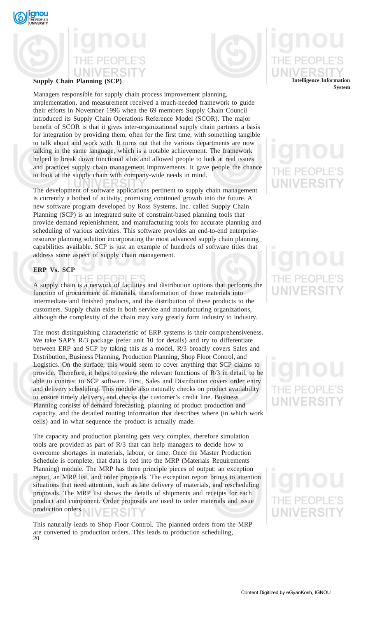

**Supply Chain Planning (SCP)**

**gnou** 

Managers responsible for supply chain process improvement planning, implementation, and measurement received a much-needed framework to guide their efforts in November 1996 when the 69 members Supply Chain Council introduced its Supply Chain Operations Reference Model (SCOR). The major benefit of SCOR is that it gives inter-organizational supply chain partners a basis for integration by providing them, often for the first time, with something tangible to talk about and work with. It turns out that the various departments are now talking in the same language, which is a notable achievement. The framework helped to break down functional silos and allowed people to look at real issues and practices supply chain management improvements. It gave people the chance to look at the supply chain with company-wide needs in mind.

The development of software applications pertinent to supply chain management is currently a hotbed of activity, promising continued growth into the future. A new software program developed by Ross Systems, Inc. called Supply Chain Planning (SCP) is an integrated suite of constraint-based planning tools that provide demand replenishment, and manufacturing tools for accurate planning and scheduling of various activities. This software provides an end-to-end enterpriseresource planning solution incorporating the most advanced supply chain planning capabilities available. SCP is just an example of hundreds of software titles that address some aspect of supply chain management.

## **ERP Vs. SCP**

HE PEOPLE'S A supply chain is a network of facilities and distribution options that performs the function of procurement of materials, transformation of these materials into intermediate and finished products, and the distribution of these products to the customers. Supply chain exist in both service and manufacturing organizations, although the complexity of the chain may vary greatly form industry to industry.

The most distinguishing characteristic of ERP systems is their comprehensiveness. We take SAP's R/3 package (refer unit 10 for details) and try to differentiate between ERP and SCP by taking this as a model. R/3 broadly covers Sales and Distribution, Business Planning, Production Planning, Shop Floor Control, and Logistics. On the surface, this would seem to cover anything that SCP claims to provide. Therefore, it helps to review the relevant functions of R/3 in detail, to be able to contrast to SCP software. First, Sales and Distribution covers order entry and delivery scheduling. This module also naturally checks on product availability to ensure timely delivery, and checks the customer's credit line. Business Planning consists of demand forecasting, planning of product production and capacity, and the detailed routing information that describes where (in which work cells) and in what sequence the product is actually made.

The capacity and production planning gets very complex, therefore simulation tools are provided as part of R/3 that can help managers to decide how to overcome shortages in materials, labour, or time. Once the Master Production Schedule is complete, that data is fed into the MRP (Materials Requirements Planning) module. The MRP has three principle pieces of output: an exception report, an MRP list, and order proposals. The exception report brings to attention situations that need attention, such as late delivery of materials, and rescheduling proposals. The MRP list shows the details of shipments and receipts for each product and component. Order proposals are used to order materials and issue production orders.

20 This naturally leads to Shop Floor Control. The planned orders from the MRP are converted to production orders. This leads to production scheduling,

## **Intelligence Information System**

# JNIVERSI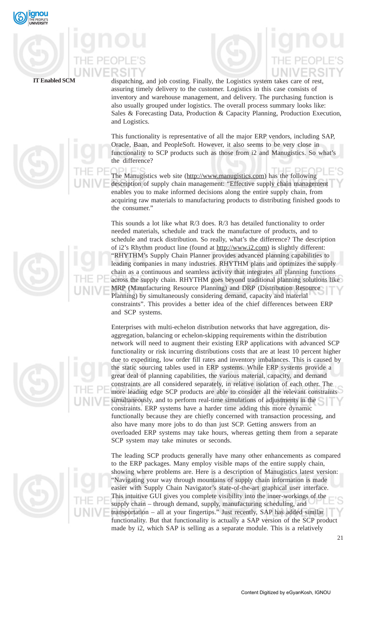

dispatching, and job costing. Finally, the Logistics system takes care of rest, assuring timely delivery to the customer. Logistics in this case consists of inventory and warehouse management, and delivery. The purchasing function is also usually grouped under logistics. The overall process summary looks like: Sales & Forecasting Data, Production & Capacity Planning, Production Execution, and Logistics.

This functionality is representative of all the major ERP vendors, including SAP, Oracle, Baan, and PeopleSoft. However, it also seems to be very close in functionality to SCP products such as those from i2 and Manugistics. So what's the difference?

The Manugistics web site (http://www.manugistics.com) has the following description of supply chain management: "Effective supply chain management enables you to make informed decisions along the entire supply chain, from acquiring raw materials to manufacturing products to distributing finished goods to the consumer."

This sounds a lot like what R/3 does. R/3 has detailed functionality to order needed materials, schedule and track the manufacture of products, and to schedule and track distribution. So really, what's the difference? The description of i2's Rhythm product line (found at http://www.i2.com) is slightly different: "RHYTHM's Supply Chain Planner provides advanced planning capabilities to leading companies in many industries. RHYTHM plans and optimizes the supply chain as a continuous and seamless activity that integrates all planning functions across the supply chain. RHYTHM goes beyond traditional planning solutions like MRP (Manufacturing Resource Planning) and DRP (Distribution Resource Planning) by simultaneously considering demand, capacity and material constraints". This provides a better idea of the chief differences between ERP and SCP systems.

Enterprises with multi-echelon distribution networks that have aggregation, disaggregation, balancing or echelon-skipping requirements within the distribution network will need to augment their existing ERP applications with advanced SCP functionality or risk incurring distributions costs that are at least 10 percent higher due to expediting, low order fill rates and inventory imbalances. This is caused by the static sourcing tables used in ERP systems. While ERP systems provide a great deal of planning capabilities, the various material, capacity, and demand constraints are all considered separately, in relative isolation of each other. The more leading edge SCP products are able to consider all the relevant constraints simultaneously, and to perform real-time simulations of adjustments in the constraints. ERP systems have a harder time adding this more dynamic functionally because they are chiefly concerned with transaction processing, and also have many more jobs to do than just SCP. Getting answers from an overloaded ERP systems may take hours, whereas getting them from a separate SCP system may take minutes or seconds.

The leading SCP products generally have many other enhancements as compared to the ERP packages. Many employ visible maps of the entire supply chain, showing where problems are. Here is a description of Manugistics latest version: "Navigating your way through mountains of supply chain information is made easier with Supply Chain Navigator's state-of-the-art graphical user interface. This intuitive GUI gives you complete visibility into the inner-workings of the supply chain – through demand, supply, manufacturing scheduling, and transportation – all at your fingertips." Just recently, SAP has added similar functionality. But that functionality is actually a SAP version of the SCP product made by i2, which SAP is selling as a separate module. This is a relatively





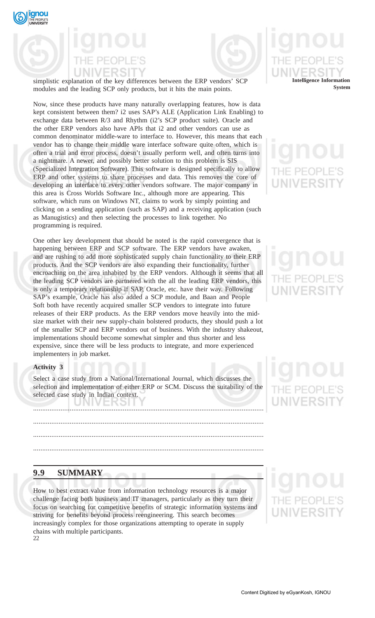



simplistic explanation of the key differences between the ERP vendors' SCP modules and the leading SCP only products, but it hits the main points.

Now, since these products have many naturally overlapping features, how is data kept consistent between them? i2 uses SAP's ALE (Application Link Enabling) to exchange data between R/3 and Rhythm (i2's SCP product suite). Oracle and the other ERP vendors also have APIs that i2 and other vendors can use as common denominator middle-ware to interface to. However, this means that each vendor has to change their middle ware interface software quite often, which is often a trial and error process, doesn't usually perform well, and often turns into a nightmare. A newer, and possibly better solution to this problem is SIS (Specialized Integration Software). This software is designed specifically to allow ERP and other systems to share processes and data. This removes the core of developing an interface to every other vendors software. The major company in this area is Cross Worlds Software Inc., although more are appearing. This software, which runs on Windows NT, claims to work by simply pointing and clicking on a sending application (such as SAP) and a receiving application (such as Manugistics) and then selecting the processes to link together. No programming is required.

One other key development that should be noted is the rapid convergence that is happening between ERP and SCP software. The ERP vendors have awaken, and are rushing to add more sophisticated supply chain functionality to their ERP products. And the SCP vendors are also expanding their functionality, further encroaching on the area inhabited by the ERP vendors. Although it seems that all the leading SCP vendors are partnered with the all the leading ERP vendors, this is only a temporary relationship if SAP, Oracle, etc. have their way. Following SAP's example, Oracle has also added a SCP module, and Baan and People Soft both have recently acquired smaller SCP vendors to integrate into future releases of their ERP products. As the ERP vendors move heavily into the midsize market with their new supply-chain bolstered products, they should push a lot of the smaller SCP and ERP vendors out of business. With the industry shakeout, implementations should become somewhat simpler and thus shorter and less expensive, since there will be less products to integrate, and more experienced implementers in job market.

## **Activity 3**

Select a case study from a National/International Journal, which discusses the selection and implementation of either ERP or SCM. Discuss the suitability of the selected case study in Indian context.

.............................................................................................................................. .............................................................................................................................. ..............................................................................................................................

..............................................................................................................................

## **9.9 SUMMARY**

22 How to best extract value from information technology resources is a major challenge facing both business and IT managers, particularly as they turn their focus on searching for competitive benefits of strategic information systems and striving for benefits beyond process reengineering. This search becomes increasingly complex for those organizations attempting to operate in supply chains with multiple participants.

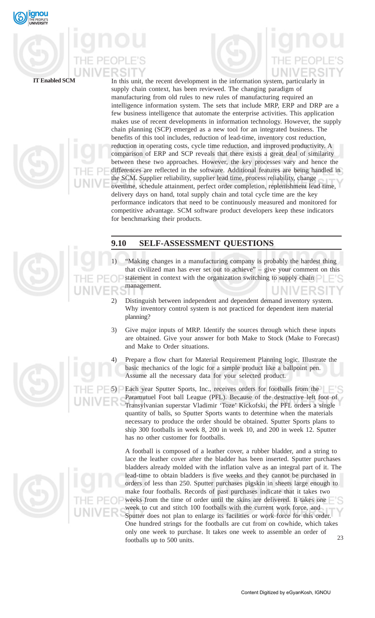



In this unit, the recent development in the information system, particularly in supply chain context, has been reviewed. The changing paradigm of manufacturing from old rules to new rules of manufacturing required an intelligence information system. The sets that include MRP, ERP and DRP are a few business intelligence that automate the enterprise activities. This application makes use of recent developments in information technology. However, the supply chain planning (SCP) emerged as a new tool for an integrated business. The benefits of this tool includes, reduction of lead-time, inventory cost reduction, reduction in operating costs, cycle time reduction, and improved productivity. A comparison of ERP and SCP reveals that there exists a great deal of similarity between these two approaches. However, the key processes vary and hence the differences are reflected in the software. Additional features are being handled in the SCM. Supplier reliability, supplier lead time, process reliability, change overtime, schedule attainment, perfect order completion, replenishment lead time, delivery days on hand, total supply chain and total cycle time are the key performance indicators that need to be continuously measured and monitored for competitive advantage. SCM software product developers keep these indicators for benchmarking their products.

## **9.10 SELF-ASSESSMENT QUESTIONS**

- "Making changes in a manufacturing company is probably the hardest thing that civilized man has ever set out to achieve" – give your comment on this statement in context with the organization switching to supply chain management.
	- 2) Distinguish between independent and dependent demand inventory system. Why inventory control system is not practiced for dependent item material planning?
	- 3) Give major inputs of MRP. Identify the sources through which these inputs are obtained. Give your answer for both Make to Stock (Make to Forecast) and Make to Order situations.
	- Prepare a flow chart for Material Requirement Planning logic. Illustrate the basic mechanics of the logic for a simple product like a ballpoint pen. Assume all the necessary data for your selected product.

Each year Sputter Sports, Inc., receives orders for footballs from the Paramutuel Foot ball League (PFL). Because of the destructive left foot of Transylvanian superstar Vladimir 'Toze' Kickofski, the PFL orders a single quantity of balls, so Sputter Sports wants to determine when the materials necessary to produce the order should be obtained. Sputter Sports plans to ship 300 footballs in week 8, 200 in week 10, and 200 in week 12. Sputter has no other customer for footballs.

23 A football is composed of a leather cover, a rubber bladder, and a string to lace the leather cover after the bladder has been inserted. Sputter purchases bladders already molded with the inflation valve as an integral part of it. The lead-time to obtain bladders is five weeks and they cannot be purchased in orders of less than 250. Sputter purchases pigskin in sheets large enough to make four footballs. Records of past purchases indicate that it takes two weeks from the time of order until the skins are delivered. It takes one week to cut and stitch 100 footballs with the current work force, and Sputter does not plan to enlarge its facilities or work force for this order. One hundred strings for the footballs are cut from on cowhide, which takes only one week to purchase. It takes one week to assemble an order of footballs up to 500 units.